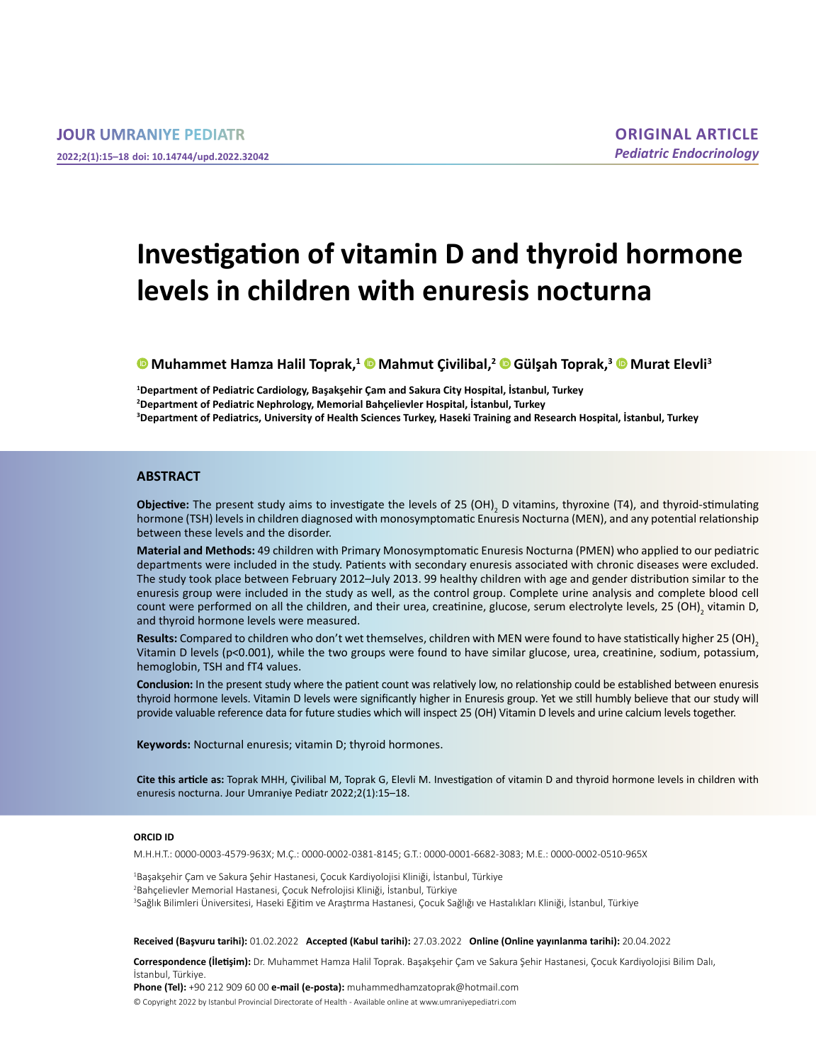# **Investigation of vitamin D and thyroid hormone levels in children with enuresis nocturna**

**[M](https://orcid.org/0000-0003-4579-963X)uhammet Hamza Halil Toprak,<sup>1</sup> [M](https://orcid.org/0000-0002-0381-8145)ahmut Çivilibal,<sup>2</sup> [G](https://orcid.org/0000-0001-6682-3083)ülşah Toprak,3 [M](https://orcid.org/0000-0002-0510-965X)urat Elevli3**

**1 Department of Pediatric Cardiology, Başakşehir Çam and Sakura City Hospital, İstanbul, Turkey 2 Department of Pediatric Nephrology, Memorial Bahçelievler Hospital, İstanbul, Turkey 3 Department of Pediatrics, University of Health Sciences Turkey, Haseki Training and Research Hospital, İstanbul, Turkey**

#### **ABSTRACT**

**Objective:** The present study aims to investigate the levels of 25 (OH)<sub>2</sub> D vitamins, thyroxine (T4), and thyroid-stimulating hormone (TSH) levels in children diagnosed with monosymptomatic Enuresis Nocturna (MEN), and any potential relationship between these levels and the disorder.

**Material and Methods:** 49 children with Primary Monosymptomatic Enuresis Nocturna (PMEN) who applied to our pediatric departments were included in the study. Patients with secondary enuresis associated with chronic diseases were excluded. The study took place between February 2012–July 2013. 99 healthy children with age and gender distribution similar to the enuresis group were included in the study as well, as the control group. Complete urine analysis and complete blood cell count were performed on all the children, and their urea, creatinine, glucose, serum electrolyte levels, 25 (OH)<sub>2</sub> vitamin D, and thyroid hormone levels were measured.

**Results:** Compared to children who don't wet themselves, children with MEN were found to have statistically higher 25 (OH)<sub>2</sub> Vitamin D levels (p<0.001), while the two groups were found to have similar glucose, urea, creatinine, sodium, potassium, hemoglobin, TSH and fT4 values.

**Conclusion:** In the present study where the patient count was relatively low, no relationship could be established between enuresis thyroid hormone levels. Vitamin D levels were significantly higher in Enuresis group. Yet we still humbly believe that our study will provide valuable reference data for future studies which will inspect 25 (OH) Vitamin D levels and urine calcium levels together.

**Keywords:** Nocturnal enuresis; vitamin D; thyroid hormones.

**Cite this article as:** Toprak MHH, Çivilibal M, Toprak G, Elevli M. Investigation of vitamin D and thyroid hormone levels in children with enuresis nocturna. Jour Umraniye Pediatr 2022;2(1):15–18.

#### **ORCID ID**

M.H.H.T.: 0000-0003-4579-963X; M.Ç.: 0000-0002-0381-8145; G.T.: 0000-0001-6682-3083; M.E.: 0000-0002-0510-965X

1 Başakşehir Çam ve Sakura Şehir Hastanesi, Çocuk Kardiyolojisi Kliniği, İstanbul, Türkiye 2 Bahçelievler Memorial Hastanesi, Çocuk Nefrolojisi Kliniği, İstanbul, Türkiye 3 Sağlık Bilimleri Üniversitesi, Haseki Eğitim ve Araştırma Hastanesi, Çocuk Sağlığı ve Hastalıkları Kliniği, İstanbul, Türkiye

**Received (Başvuru tarihi):** 01.02.2022 **Accepted (Kabul tarihi):** 27.03.2022 **Online (Online yayınlanma tarihi):** 20.04.2022

**Correspondence (İletişim):** Dr. Muhammet Hamza Halil Toprak. Başakşehir Çam ve Sakura Şehir Hastanesi, Çocuk Kardiyolojisi Bilim Dalı, İstanbul, Türkiye.

**Phone (Tel):** +90 212 909 60 00 **e-mail (e-posta):** muhammedhamzatoprak@hotmail.com

© Copyright 2022 by Istanbul Provincial Directorate of Health - Available online at www.umraniyepediatri.com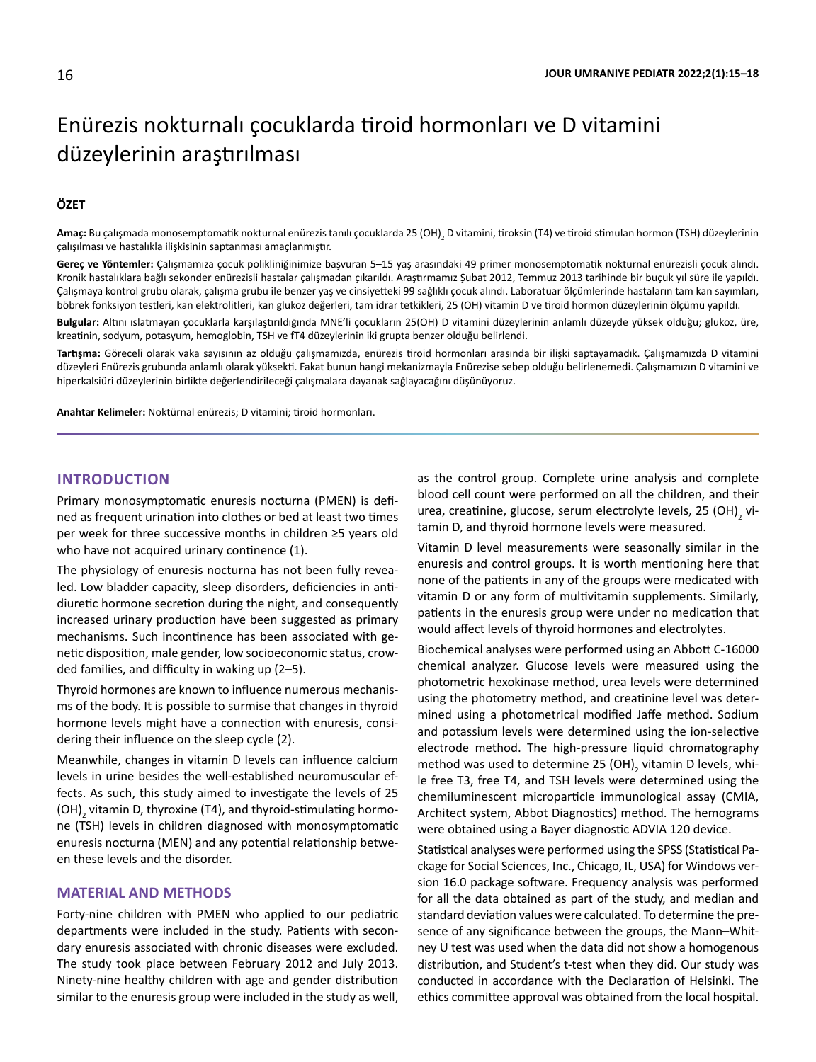# Enürezis nokturnalı çocuklarda tiroid hormonları ve D vitamini düzeylerinin araştırılması

# **ÖZET**

**Amaç:** Bu çalışmada monosemptomatik nokturnal enürezis tanılı çocuklarda 25 (OH)<sub>2</sub> D vitamini, tiroksin (T4) ve tiroid stimulan hormon (TSH) düzeylerinin çalışılması ve hastalıkla ilişkisinin saptanması amaçlanmıştır.

**Gereç ve Yöntemler:** Çalışmamıza çocuk polikliniğinimize başvuran 5–15 yaş arasındaki 49 primer monosemptomatik nokturnal enürezisli çocuk alındı. Kronik hastalıklara bağlı sekonder enürezisli hastalar çalışmadan çıkarıldı. Araştırmamız Şubat 2012, Temmuz 2013 tarihinde bir buçuk yıl süre ile yapıldı. Çalışmaya kontrol grubu olarak, çalışma grubu ile benzer yaş ve cinsiyetteki 99 sağlıklı çocuk alındı. Laboratuar ölçümlerinde hastaların tam kan sayımları, böbrek fonksiyon testleri, kan elektrolitleri, kan glukoz değerleri, tam idrar tetkikleri, 25 (OH) vitamin D ve tiroid hormon düzeylerinin ölçümü yapıldı.

**Bulgular:** Altını ıslatmayan çocuklarla karşılaştırıldığında MNE'li çocukların 25(OH) D vitamini düzeylerinin anlamlı düzeyde yüksek olduğu; glukoz, üre, kreatinin, sodyum, potasyum, hemoglobin, TSH ve fT4 düzeylerinin iki grupta benzer olduğu belirlendi.

**Tartışma:** Göreceli olarak vaka sayısının az olduğu çalışmamızda, enürezis tiroid hormonları arasında bir ilişki saptayamadık. Çalışmamızda D vitamini düzeyleri Enürezis grubunda anlamlı olarak yüksekti. Fakat bunun hangi mekanizmayla Enürezise sebep olduğu belirlenemedi. Çalışmamızın D vitamini ve hiperkalsiüri düzeylerinin birlikte değerlendirileceği çalışmalara dayanak sağlayacağını düşünüyoruz.

**Anahtar Kelimeler:** Noktürnal enürezis; D vitamini; tiroid hormonları.

#### **INTRODUCTION**

Primary monosymptomatic enuresis nocturna (PMEN) is defined as frequent urination into clothes or bed at least two times per week for three successive months in children ≥5 years old who have not acquired urinary continence (1).

The physiology of enuresis nocturna has not been fully revealed. Low bladder capacity, sleep disorders, deficiencies in antidiuretic hormone secretion during the night, and consequently increased urinary production have been suggested as primary mechanisms. Such incontinence has been associated with genetic disposition, male gender, low socioeconomic status, crowded families, and difficulty in waking up (2–5).

Thyroid hormones are known to influence numerous mechanisms of the body. It is possible to surmise that changes in thyroid hormone levels might have a connection with enuresis, considering their influence on the sleep cycle (2).

Meanwhile, changes in vitamin D levels can influence calcium levels in urine besides the well-established neuromuscular effects. As such, this study aimed to investigate the levels of 25 (OH)<sub>2</sub> vitamin D, thyroxine (T4), and thyroid-stimulating hormone (TSH) levels in children diagnosed with monosymptomatic enuresis nocturna (MEN) and any potential relationship between these levels and the disorder.

### **MATERIAL AND METHODS**

Forty-nine children with PMEN who applied to our pediatric departments were included in the study. Patients with secondary enuresis associated with chronic diseases were excluded. The study took place between February 2012 and July 2013. Ninety-nine healthy children with age and gender distribution similar to the enuresis group were included in the study as well, as the control group. Complete urine analysis and complete blood cell count were performed on all the children, and their urea, creatinine, glucose, serum electrolyte levels, 25 (OH)<sub>2</sub> vitamin D, and thyroid hormone levels were measured.

Vitamin D level measurements were seasonally similar in the enuresis and control groups. It is worth mentioning here that none of the patients in any of the groups were medicated with vitamin D or any form of multivitamin supplements. Similarly, patients in the enuresis group were under no medication that would affect levels of thyroid hormones and electrolytes.

Biochemical analyses were performed using an Abbott C-16000 chemical analyzer. Glucose levels were measured using the photometric hexokinase method, urea levels were determined using the photometry method, and creatinine level was determined using a photometrical modified Jaffe method. Sodium and potassium levels were determined using the ion-selective electrode method. The high-pressure liquid chromatography method was used to determine 25 (OH)<sub>2</sub> vitamin D levels, while free T3, free T4, and TSH levels were determined using the chemiluminescent microparticle immunological assay (CMIA, Architect system, Abbot Diagnostics) method. The hemograms were obtained using a Bayer diagnostic ADVIA 120 device.

Statistical analyses were performed using the SPSS (Statistical Package for Social Sciences, Inc., Chicago, IL, USA) for Windows version 16.0 package software. Frequency analysis was performed for all the data obtained as part of the study, and median and standard deviation values were calculated. To determine the presence of any significance between the groups, the Mann–Whitney U test was used when the data did not show a homogenous distribution, and Student's t-test when they did. Our study was conducted in accordance with the Declaration of Helsinki. The ethics committee approval was obtained from the local hospital.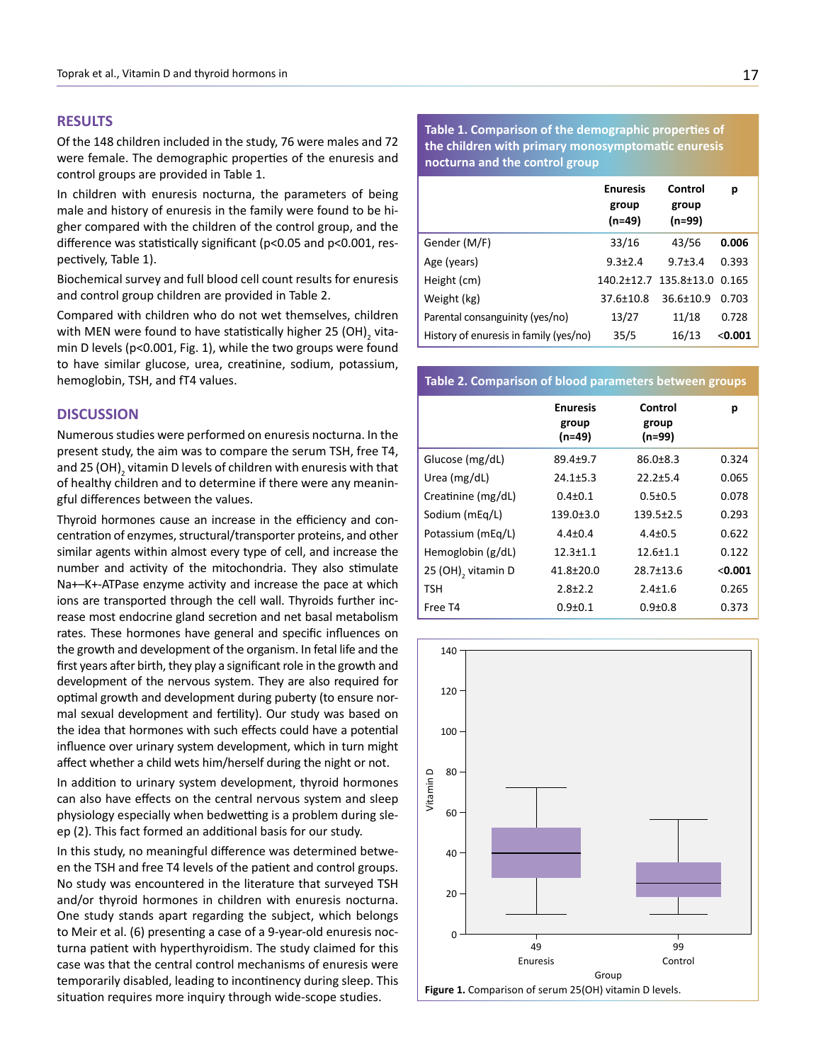## **RESULTS**

Of the 148 children included in the study, 76 were males and 72 were female. The demographic properties of the enuresis and control groups are provided in Table 1.

In children with enuresis nocturna, the parameters of being male and history of enuresis in the family were found to be higher compared with the children of the control group, and the difference was statistically significant (p<0.05 and p<0.001, respectively, Table 1).

Biochemical survey and full blood cell count results for enuresis and control group children are provided in Table 2.

Compared with children who do not wet themselves, children with MEN were found to have statistically higher 25 (OH)<sub>2</sub> vitamin D levels (p<0.001, Fig. 1), while the two groups were found to have similar glucose, urea, creatinine, sodium, potassium, hemoglobin, TSH, and fT4 values.

### **DISCUSSION**

Numerous studies were performed on enuresis nocturna. In the present study, the aim was to compare the serum TSH, free T4, and 25 (OH) $_{\rm 2}$  vitamin D levels of children with enuresis with that of healthy children and to determine if there were any meaningful differences between the values.

Thyroid hormones cause an increase in the efficiency and concentration of enzymes, structural/transporter proteins, and other similar agents within almost every type of cell, and increase the number and activity of the mitochondria. They also stimulate Na+–K+-ATPase enzyme activity and increase the pace at which ions are transported through the cell wall. Thyroids further increase most endocrine gland secretion and net basal metabolism rates. These hormones have general and specific influences on the growth and development of the organism. In fetal life and the first years after birth, they play a significant role in the growth and development of the nervous system. They are also required for optimal growth and development during puberty (to ensure normal sexual development and fertility). Our study was based on the idea that hormones with such effects could have a potential influence over urinary system development, which in turn might affect whether a child wets him/herself during the night or not.

In addition to urinary system development, thyroid hormones can also have effects on the central nervous system and sleep physiology especially when bedwetting is a problem during sleep (2). This fact formed an additional basis for our study.

In this study, no meaningful difference was determined between the TSH and free T4 levels of the patient and control groups. No study was encountered in the literature that surveyed TSH and/or thyroid hormones in children with enuresis nocturna. One study stands apart regarding the subject, which belongs to Meir et al. (6) presenting a case of a 9-year-old enuresis nocturna patient with hyperthyroidism. The study claimed for this case was that the central control mechanisms of enuresis were temporarily disabled, leading to incontinency during sleep. This situation requires more inquiry through wide-scope studies.

**Table 1. Comparison of the demographic properties of the children with primary monosymptomatic enuresis nocturna and the control group**

|                                        | <b>Enuresis</b><br>group<br>(n=49) | Control<br>group<br>(n=99) | р         |
|----------------------------------------|------------------------------------|----------------------------|-----------|
| Gender (M/F)                           | 33/16                              | 43/56                      | 0.006     |
| Age (years)                            | $9.3 + 2.4$                        | $9.7 + 3.4$                | 0.393     |
| Height (cm)                            | 140.2±12.7                         | 135.8+13.0                 | 0.165     |
| Weight (kg)                            | $37.6 + 10.8$                      | $36.6 + 10.9$              | 0.703     |
| Parental consanguinity (yes/no)        | 13/27                              | 11/18                      | 0.728     |
| History of enuresis in family (yes/no) | 35/5                               | 16/13                      | $<$ 0.001 |

#### **Table 2. Comparison of blood parameters between groups**

|                     | <b>Enuresis</b><br>group<br>(n=49) | Control<br>group<br>(n=99) | р       |
|---------------------|------------------------------------|----------------------------|---------|
| Glucose (mg/dL)     | $89.4 + 9.7$                       | $86.0 \pm 8.3$             | 0.324   |
| Urea (mg/dL)        | $24.1 + 5.3$                       | $22.2 + 5.4$               | 0.065   |
| Creatinine (mg/dL)  | $0.4 \pm 0.1$                      | $0.5 \pm 0.5$              | 0.078   |
| Sodium (mEq/L)      | $139.0 + 3.0$                      | $139.5 \pm 2.5$            | 0.293   |
| Potassium (mEg/L)   | $4.4 \pm 0.4$                      | $4.4 \pm 0.5$              | 0.622   |
| Hemoglobin $(g/dL)$ | $12.3 \pm 1.1$                     | $12.6 \pm 1.1$             | 0.122   |
| 25 (OH), vitamin D  | $41.8 + 20.0$                      | 28.7+13.6                  | < 0.001 |
| TSH                 | $2.8 + 2.2$                        | $2.4 + 1.6$                | 0.265   |
| Free T4             | $0.9 + 0.1$                        | $0.9 + 0.8$                | 0.373   |